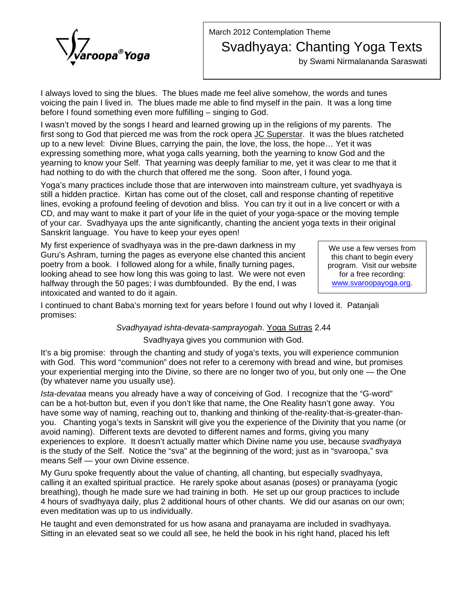

## March 2012 Contemplation Theme Svadhyaya: Chanting Yoga Texts

by Swami Nirmalananda Saraswati

I always loved to sing the blues. The blues made me feel alive somehow, the words and tunes voicing the pain I lived in. The blues made me able to find myself in the pain. It was a long time before I found something even more fulfilling – singing to God.

I wasn't moved by the songs I heard and learned growing up in the religions of my parents. The first song to God that pierced me was from the rock opera JC Superstar. It was the blues ratcheted up to a new level: Divine Blues, carrying the pain, the love, the loss, the hope… Yet it was expressing something more, what yoga calls yearning, both the yearning to know God and the yearning to know your Self. That yearning was deeply familiar to me, yet it was clear to me that it had nothing to do with the church that offered me the song. Soon after, I found yoga.

Yoga's many practices include those that are interwoven into mainstream culture, yet svadhyaya is still a hidden practice. Kirtan has come out of the closet, call and response chanting of repetitive lines, evoking a profound feeling of devotion and bliss. You can try it out in a live concert or with a CD, and may want to make it part of your life in the quiet of your yoga-space or the moving temple of your car. Svadhyaya ups the ante significantly, chanting the ancient yoga texts in their original Sanskrit language. You have to keep your eyes open!

My first experience of svadhyaya was in the pre-dawn darkness in my Guru's Ashram, turning the pages as everyone else chanted this ancient poetry from a book. I followed along for a while, finally turning pages, looking ahead to see how long this was going to last. We were not even halfway through the 50 pages; I was dumbfounded. By the end, I was intoxicated and wanted to do it again.

We use a few verses from this chant to begin every program. Visit our website for a free recording: www.svaroopayoga.org.

I continued to chant Baba's morning text for years before I found out why I loved it. Patanjali promises:

## *Svadhyayad ishta-devata-samprayogah*. Yoga Sutras 2.44

## Svadhyaya gives you communion with God.

It's a big promise: through the chanting and study of yoga's texts, you will experience communion with God. This word "communion" does not refer to a ceremony with bread and wine, but promises your experiential merging into the Divine, so there are no longer two of you, but only one — the One (by whatever name you usually use).

*Ista-devataa* means you already have a way of conceiving of God. I recognize that the "G-word" can be a hot-button but, even if you don't like that name, the One Reality hasn't gone away. You have some way of naming, reaching out to, thanking and thinking of the-reality-that-is-greater-thanyou. Chanting yoga's texts in Sanskrit will give you the experience of the Divinity that you name (or avoid naming). Different texts are devoted to different names and forms, giving you many experiences to explore. It doesn't actually matter which Divine name you use, because *svadhyaya* is the study of the Self. Notice the "sva" at the beginning of the word; just as in "svaroopa," sva means Self — your own Divine essence.

My Guru spoke frequently about the value of chanting, all chanting, but especially svadhyaya, calling it an exalted spiritual practice. He rarely spoke about asanas (poses) or pranayama (yogic breathing), though he made sure we had training in both. He set up our group practices to include 4 hours of svadhyaya daily, plus 2 additional hours of other chants. We did our asanas on our own; even meditation was up to us individually.

He taught and even demonstrated for us how asana and pranayama are included in svadhyaya. Sitting in an elevated seat so we could all see, he held the book in his right hand, placed his left